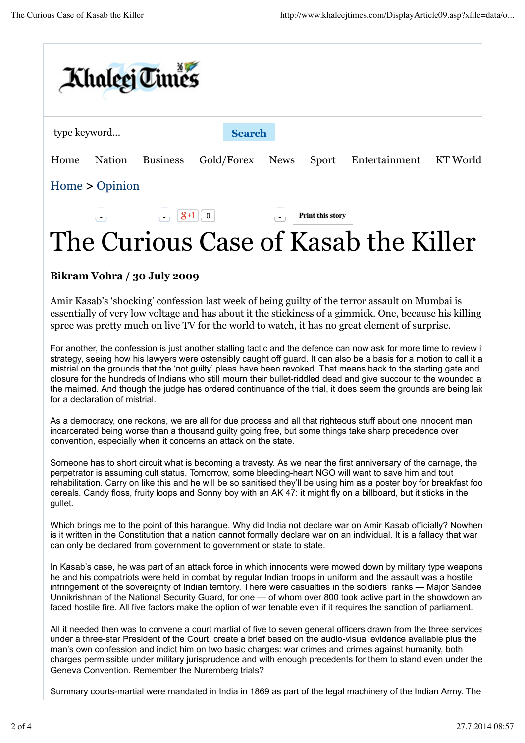

## The Curious Case of Kasab the Killer

## **Bikram Vohra / 30 July 2009**

Amir Kasab's 'shocking' confession last week of being guilty of the terror assault on Mumbai is essentially of very low voltage and has about it the stickiness of a gimmick. One, because his killing spree was pretty much on live TV for the world to watch, it has no great element of surprise.

For another, the confession is just another stalling tactic and the defence can now ask for more time to review it strategy, seeing how his lawyers were ostensibly caught off guard. It can also be a basis for a motion to call it a mistrial on the grounds that the 'not guilty' pleas have been revoked. That means back to the starting gate and  $\blacksquare$ closure for the hundreds of Indians who still mourn their bullet-riddled dead and give succour to the wounded and the maimed. And though the judge has ordered continuance of the trial, it does seem the grounds are being laid for a declaration of mistrial.

As a democracy, one reckons, we are all for due process and all that righteous stuff about one innocent man incarcerated being worse than a thousand guilty going free, but some things take sharp precedence over convention, especially when it concerns an attack on the state.

Someone has to short circuit what is becoming a travesty. As we near the first anniversary of the carnage, the perpetrator is assuming cult status. Tomorrow, some bleeding-heart NGO will want to save him and tout rehabilitation. Carry on like this and he will be so sanitised they'll be using him as a poster boy for breakfast foo cereals. Candy floss, fruity loops and Sonny boy with an AK 47: it might fly on a billboard, but it sticks in the gullet.

Which brings me to the point of this harangue. Why did India not declare war on Amir Kasab officially? Nowhere is it written in the Constitution that a nation cannot formally declare war on an individual. It is a fallacy that war can only be declared from government to government or state to state.

In Kasab's case, he was part of an attack force in which innocents were mowed down by military type weapons; he and his compatriots were held in combat by regular Indian troops in uniform and the assault was a hostile infringement of the sovereignty of Indian territory. There were casualties in the soldiers' ranks — Major Sandee Unnikrishnan of the National Security Guard, for one — of whom over 800 took active part in the showdown and faced hostile fire. All five factors make the option of war tenable even if it requires the sanction of parliament.

All it needed then was to convene a court martial of five to seven general officers drawn from the three services, under a three-star President of the Court, create a brief based on the audio-visual evidence available plus the man's own confession and indict him on two basic charges: war crimes and crimes against humanity, both charges permissible under military jurisprudence and with enough precedents for them to stand even under the Geneva Convention. Remember the Nuremberg trials?

Summary courts-martial were mandated in India in 1869 as part of the legal machinery of the Indian Army. The